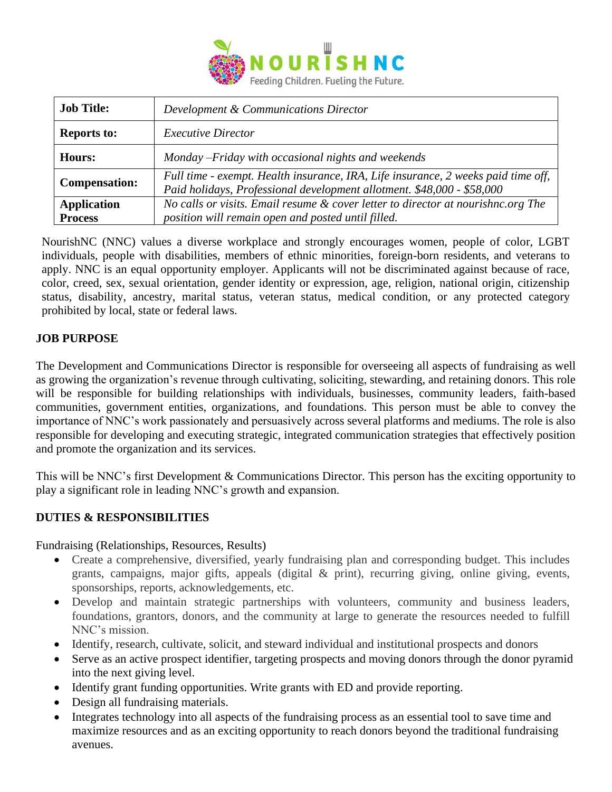

| <b>Job Title:</b>    | Development & Communications Director                                                                                                                       |
|----------------------|-------------------------------------------------------------------------------------------------------------------------------------------------------------|
| <b>Reports to:</b>   | <b>Executive Director</b>                                                                                                                                   |
| <b>Hours:</b>        | Monday - Friday with occasional nights and weekends                                                                                                         |
| <b>Compensation:</b> | Full time - exempt. Health insurance, IRA, Life insurance, 2 weeks paid time off,<br>Paid holidays, Professional development allotment. \$48,000 - \$58,000 |
| <b>Application</b>   | No calls or visits. Email resume & cover letter to director at nourishnc.org The                                                                            |
| <b>Process</b>       | position will remain open and posted until filled.                                                                                                          |

NourishNC (NNC) values a diverse workplace and strongly encourages women, people of color, LGBT individuals, people with disabilities, members of ethnic minorities, foreign-born residents, and veterans to apply. NNC is an equal opportunity employer. Applicants will not be discriminated against because of race, color, creed, sex, sexual orientation, gender identity or expression, age, religion, national origin, citizenship status, disability, ancestry, marital status, veteran status, medical condition, or any protected category prohibited by local, state or federal laws.

### **JOB PURPOSE**

The Development and Communications Director is responsible for overseeing all aspects of fundraising as well as growing the organization's revenue through cultivating, soliciting, stewarding, and retaining donors. This role will be responsible for building relationships with individuals, businesses, community leaders, faith-based communities, government entities, organizations, and foundations. This person must be able to convey the importance of NNC's work passionately and persuasively across several platforms and mediums. The role is also responsible for developing and executing strategic, integrated communication strategies that effectively position and promote the organization and its services.

This will be NNC's first Development & Communications Director. This person has the exciting opportunity to play a significant role in leading NNC's growth and expansion.

#### **DUTIES & RESPONSIBILITIES**

Fundraising (Relationships, Resources, Results)

- Create a comprehensive, diversified, yearly fundraising plan and corresponding budget. This includes grants, campaigns, major gifts, appeals (digital & print), recurring giving, online giving, events, sponsorships, reports, acknowledgements, etc.
- Develop and maintain strategic partnerships with volunteers, community and business leaders, foundations, grantors, donors, and the community at large to generate the resources needed to fulfill NNC's mission.
- Identify, research, cultivate, solicit, and steward individual and institutional prospects and donors
- Serve as an active prospect identifier, targeting prospects and moving donors through the donor pyramid into the next giving level.
- Identify grant funding opportunities. Write grants with ED and provide reporting.
- Design all fundraising materials.
- Integrates technology into all aspects of the fundraising process as an essential tool to save time and maximize resources and as an exciting opportunity to reach donors beyond the traditional fundraising avenues.